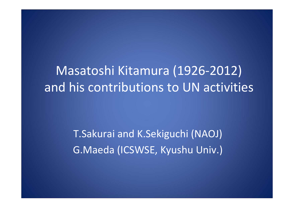Masatoshi Kitamura (1926‐2012) and his contributions to UN activities

> T.Sakurai and K.Sekiguchi (NAOJ) G.Maeda (ICSWSE, Kyushu Univ.)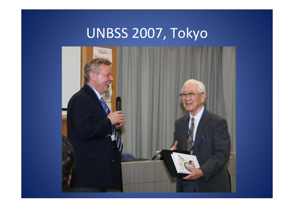## UNBSS 2007, Tokyo

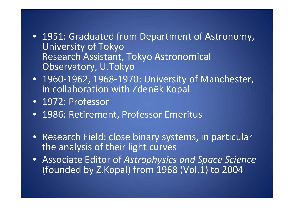- 1951: Graduated from Department of Astronomy, University of Tokyo Research Assistant, Tokyo Astronomical Observatory, U.Tokyo
- 1960‐1962, 1968‐1970: University of Manchester, in collaboration with Zdenĕk Kopal
- 1972: Professor
- 1986: Retirement, Professor Emeritus
- Research Field: close binary systems, in particular the analysis of their light curves
- Associate Editor of *Astrophysics and Space Science* (founded by Z.Kopal) from 1968 (Vol.1) to 2004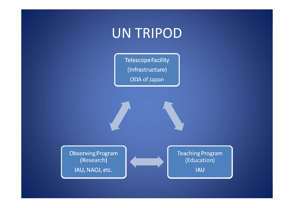## UN TRIPOD

**Telescope Facility** (Infrastructure) ODA of Japan

**Observing Program** (Research)

IAU, NAOJ, etc.

**Teaching Program** (Education)

**IAU**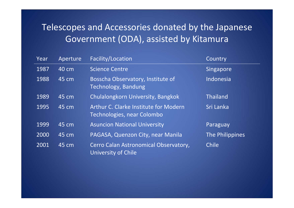## Telescopes and Accessories donated by the Japanese Government (ODA), assisted by Kitamura

| Year | Aperture | Facility/Location                                                   | Country         |
|------|----------|---------------------------------------------------------------------|-----------------|
| 1987 | 40 cm    | <b>Science Centre</b>                                               | Singapore       |
| 1988 | 45 cm    | Bosscha Observatory, Institute of<br>Technology, Bandung            | Indonesia       |
| 1989 | 45 cm    | Chulalongkorn University, Bangkok                                   | <b>Thailand</b> |
| 1995 | 45 cm    | Arthur C. Clarke Institute for Modern<br>Technologies, near Colombo | Sri Lanka       |
| 1999 | 45 cm    | <b>Asuncion National University</b>                                 | Paraguay        |
| 2000 | 45 cm    | PAGASA, Quenzon City, near Manila                                   | The Philippines |
| 2001 | 45 cm    | Cerro Calan Astronomical Observatory,<br>University of Chile        | <b>Chile</b>    |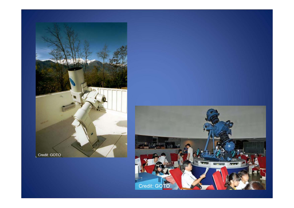

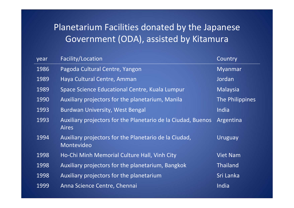## Planetarium Facilities donated by the Japanese Government (ODA), assisted by Kitamura

| year | Facility/Location                                                            | Country         |
|------|------------------------------------------------------------------------------|-----------------|
| 1986 | Pagoda Cultural Centre, Yangon                                               | <b>Myanmar</b>  |
| 1989 | Haya Cultural Centre, Amman                                                  | Jordan          |
| 1989 | Space Science Educational Centre, Kuala Lumpur                               | Malaysia        |
| 1990 | Auxiliary projectors for the planetarium, Manila                             | The Philippines |
| 1993 | <b>Burdwan University, West Bengal</b>                                       | India           |
| 1993 | Auxiliary projectors for the Planetario de la Ciudad, Buenos<br><b>Aires</b> | Argentina       |
| 1994 | Auxiliary projectors for the Planetario de la Ciudad,<br>Montevideo          | Uruguay         |
| 1998 | Ho-Chi Minh Memorial Culture Hall, Vinh City                                 | <b>Viet Nam</b> |
| 1998 | Auxiliary projectors for the planetarium, Bangkok                            | <b>Thailand</b> |
| 1998 | Auxiliary projectors for the planetarium                                     | Sri Lanka       |
| 1999 | Anna Science Centre, Chennai                                                 | India           |
|      |                                                                              |                 |